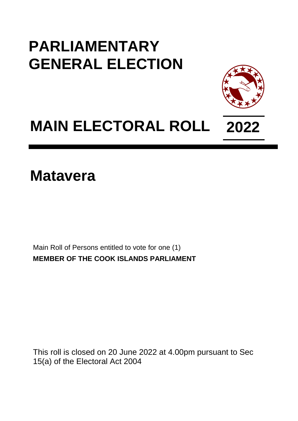## **PARLIAMENTARY GENERAL ELECTION**



## **MAIN ELECTORAL ROLL 2022**

**Matavera**

Main Roll of Persons entitled to vote for one (1) **MEMBER OF THE COOK ISLANDS PARLIAMENT**

This roll is closed on 20 June 2022 at 4.00pm pursuant to Sec 15(a) of the Electoral Act 2004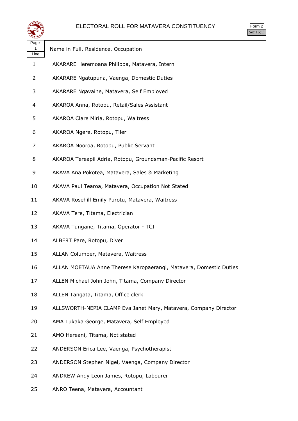



| પ≠≠≫              |                                                                    |
|-------------------|--------------------------------------------------------------------|
| Page<br>1<br>Line | Name in Full, Residence, Occupation                                |
| $\mathbf{1}$      | AKARARE Heremoana Philippa, Matavera, Intern                       |
| 2                 | AKARARE Ngatupuna, Vaenga, Domestic Duties                         |
| 3                 | AKARARE Ngavaine, Matavera, Self Employed                          |
| 4                 | AKAROA Anna, Rotopu, Retail/Sales Assistant                        |
| 5                 | AKAROA Clare Miria, Rotopu, Waitress                               |
| 6                 | AKAROA Ngere, Rotopu, Tiler                                        |
| 7                 | AKAROA Nooroa, Rotopu, Public Servant                              |
| 8                 | AKAROA Tereapii Adria, Rotopu, Groundsman-Pacific Resort           |
| 9                 | AKAVA Ana Pokotea, Matavera, Sales & Marketing                     |
| 10                | AKAVA Paul Tearoa, Matavera, Occupation Not Stated                 |
| 11                | AKAVA Rosehill Emily Purotu, Matavera, Waitress                    |
| 12                | AKAVA Tere, Titama, Electrician                                    |
| 13                | AKAVA Tungane, Titama, Operator - TCI                              |
| 14                | ALBERT Pare, Rotopu, Diver                                         |
| 15                | ALLAN Columber, Matavera, Waitress                                 |
| 16                | ALLAN MOETAUA Anne Therese Karopaerangi, Matavera, Domestic Duties |
| 17                | ALLEN Michael John John, Titama, Company Director                  |
| 18                | ALLEN Tangata, Titama, Office clerk                                |
| 19                | ALLSWORTH-NEPIA CLAMP Eva Janet Mary, Matavera, Company Director   |
| 20                | AMA Tukaka George, Matavera, Self Employed                         |
| 21                | AMO Hereani, Titama, Not stated                                    |
| 22                | ANDERSON Erica Lee, Vaenga, Psychotherapist                        |
| 23                | ANDERSON Stephen Nigel, Vaenga, Company Director                   |
| 24                | ANDREW Andy Leon James, Rotopu, Labourer                           |
|                   |                                                                    |

ANRO Teena, Matavera, Accountant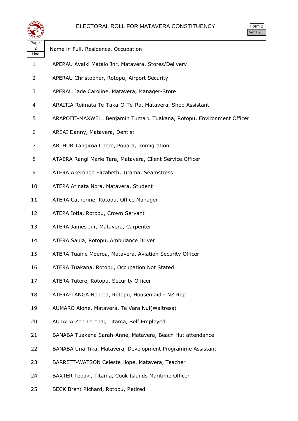

| orm<br>╯ |
|----------|
|          |

| Page<br>$\overline{2}$<br>Line | Name in Full, Residence, Occupation                                   |
|--------------------------------|-----------------------------------------------------------------------|
| 1                              | APERAU Avaiki Mataio Jnr, Matavera, Stores/Delivery                   |
| 2                              | APERAU Christopher, Rotopu, Airport Security                          |
| 3                              | APERAU Jade Caroline, Matavera, Manager-Store                         |
| 4                              | ARAITIA Roimata Te-Taka-O-Te-Ra, Matavera, Shop Assistant             |
| 5                              | ARAPOITI-MAXWELL Benjamin Tumaru Tuakana, Rotopu, Environment Officer |
| 6                              | AREAI Danny, Matavera, Dentist                                        |
| 7                              | ARTHUR Tangiroa Chere, Pouara, Immigration                            |
| 8                              | ATAERA Rangi Marie Tara, Matavera, Client Service Officer             |
| 9                              | ATERA Akerongo Elizabeth, Titama, Seamstress                          |
| 10                             | ATERA Atinata Nora, Matavera, Student                                 |
| 11                             | ATERA Catherine, Rotopu, Office Manager                               |
| 12                             | ATERA Iotia, Rotopu, Crown Servant                                    |
| 13                             | ATERA James Jnr, Matavera, Carpenter                                  |
| 14                             | ATERA Saula, Rotopu, Ambulance Driver                                 |
| 15                             | ATERA Tuaine Moeroa, Matavera, Aviation Security Officer              |
| 16                             | ATERA Tuakana, Rotopu, Occupation Not Stated                          |
| 17                             | ATERA Tutere, Rotopu, Security Officer                                |
| 18                             | ATERA-TANGA Nooroa, Rotopu, Housemaid - NZ Rep                        |
| 19                             | AUMARO Alone, Matavera, Te Vara Nui(Waitress)                         |
| 20                             | AUTAUA Zeb Terepai, Titama, Self Employed                             |
| 21                             | BANABA Tuakana Sarah-Anne, Matavera, Beach Hut attendance             |
| 22                             | BANABA Una Tika, Matavera, Development Programme Assistant            |
| 23                             | BARRETT-WATSON Celeste Hope, Matavera, Teacher                        |
| 24                             | BAXTER Tepaki, Titama, Cook Islands Maritime Officer                  |

BECK Brent Richard, Rotopu, Retired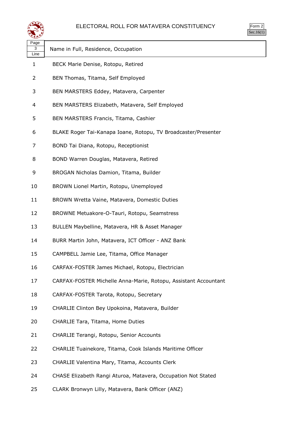

| orm<br>╭ |
|----------|
| ` 1      |

| પ∓≠У              |                                                                 |
|-------------------|-----------------------------------------------------------------|
| Page<br>3<br>Line | Name in Full, Residence, Occupation                             |
| $\mathbf{1}$      | BECK Marie Denise, Rotopu, Retired                              |
| 2                 | BEN Thomas, Titama, Self Employed                               |
| 3                 | BEN MARSTERS Eddey, Matavera, Carpenter                         |
| 4                 | BEN MARSTERS Elizabeth, Matavera, Self Employed                 |
| 5                 | BEN MARSTERS Francis, Titama, Cashier                           |
| 6                 | BLAKE Roger Tai-Kanapa Ioane, Rotopu, TV Broadcaster/Presenter  |
| 7                 | BOND Tai Diana, Rotopu, Receptionist                            |
| 8                 | BOND Warren Douglas, Matavera, Retired                          |
| 9                 | BROGAN Nicholas Damion, Titama, Builder                         |
| 10                | BROWN Lionel Martin, Rotopu, Unemployed                         |
| 11                | BROWN Wretta Vaine, Matavera, Domestic Duties                   |
| 12                | BROWNE Metuakore-O-Tauri, Rotopu, Seamstress                    |
| 13                | BULLEN Maybelline, Matavera, HR & Asset Manager                 |
| 14                | BURR Martin John, Matavera, ICT Officer - ANZ Bank              |
| 15                | CAMPBELL Jamie Lee, Titama, Office Manager                      |
| 16                | CARFAX-FOSTER James Michael, Rotopu, Electrician                |
| 17                | CARFAX-FOSTER Michelle Anna-Marie, Rotopu, Assistant Accountant |
| 18                | CARFAX-FOSTER Tarota, Rotopu, Secretary                         |
| 19                | CHARLIE Clinton Bey Upokoina, Matavera, Builder                 |
| 20                | <b>CHARLIE Tara, Titama, Home Duties</b>                        |
| 21                | CHARLIE Terangi, Rotopu, Senior Accounts                        |
| 22                | CHARLIE Tuainekore, Titama, Cook Islands Maritime Officer       |
| 23                | CHARLIE Valentina Mary, Titama, Accounts Clerk                  |
| 24                | CHASE Elizabeth Rangi Aturoa, Matavera, Occupation Not Stated   |

CLARK Bronwyn Lilly, Matavera, Bank Officer (ANZ)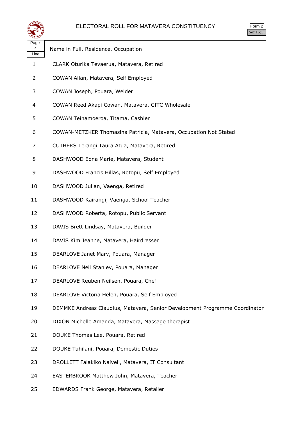

| ⋖≝≇⋗              |                                                                             |
|-------------------|-----------------------------------------------------------------------------|
| Page<br>4<br>Line | Name in Full, Residence, Occupation                                         |
| 1                 | CLARK Oturika Tevaerua, Matavera, Retired                                   |
| 2                 | COWAN Allan, Matavera, Self Employed                                        |
| 3                 | COWAN Joseph, Pouara, Welder                                                |
| 4                 | COWAN Reed Akapi Cowan, Matavera, CITC Wholesale                            |
| 5                 | COWAN Teinamoeroa, Titama, Cashier                                          |
| 6                 | COWAN-METZKER Thomasina Patricia, Matavera, Occupation Not Stated           |
| 7                 | CUTHERS Terangi Taura Atua, Matavera, Retired                               |
| 8                 | DASHWOOD Edna Marie, Matavera, Student                                      |
| 9                 | DASHWOOD Francis Hillas, Rotopu, Self Employed                              |
| 10                | DASHWOOD Julian, Vaenga, Retired                                            |
| 11                | DASHWOOD Kairangi, Vaenga, School Teacher                                   |
| 12                | DASHWOOD Roberta, Rotopu, Public Servant                                    |
| 13                | DAVIS Brett Lindsay, Matavera, Builder                                      |
| 14                | DAVIS Kim Jeanne, Matavera, Hairdresser                                     |
| 15                | DEARLOVE Janet Mary, Pouara, Manager                                        |
| 16                | DEARLOVE Neil Stanley, Pouara, Manager                                      |
| 17                | DEARLOVE Reuben Neilsen, Pouara, Chef                                       |
| 18                | DEARLOVE Victoria Helen, Pouara, Self Employed                              |
| 19                | DEMMKE Andreas Claudius, Matavera, Senior Development Programme Coordinator |
| 20                | DIXON Michelle Amanda, Matavera, Massage therapist                          |
| 21                | DOUKE Thomas Lee, Pouara, Retired                                           |
| 22                | DOUKE Tuhilani, Pouara, Domestic Duties                                     |
| 23                | DROLLETT Falakiko Naiveli, Matavera, IT Consultant                          |
| 24                | EASTERBROOK Matthew John, Matavera, Teacher                                 |

EDWARDS Frank George, Matavera, Retailer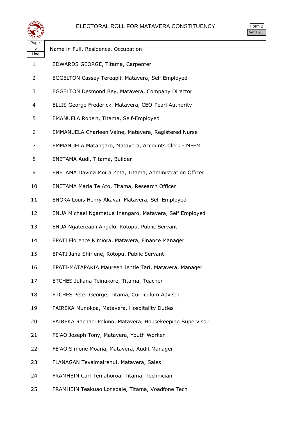

| Page<br>5<br>Line | Name in Full, Residence, Occupation                       |
|-------------------|-----------------------------------------------------------|
| 1                 | EDWARDS GEORGE, Titama, Carpenter                         |
| 2                 | EGGELTON Cassey Tereapii, Matavera, Self Employed         |
| 3                 | EGGELTON Desmond Bey, Matavera, Company Director          |
| 4                 | ELLIS George Frederick, Matavera, CEO-Pearl Authority     |
| 5                 | EMANUELA Robert, Titama, Self-Employed                    |
| 6                 | EMMANUELA Charleen Vaine, Matavera, Registered Nurse      |
| 7                 | EMMANUELA Matangaro, Matavera, Accounts Clerk - MFEM      |
| 8                 | ENETAMA Audi, Titama, Builder                             |
| 9                 | ENETAMA Davina Moira Zeta, Titama, Administration Officer |
| 10                | ENETAMA Maria Te Ato, Titama, Research Officer            |
| 11                | ENOKA Louis Henry Akavai, Matavera, Self Employed         |
| 12                | ENUA Michael Ngametua Inangaro, Matavera, Self Employed   |
| 13                | ENUA Ngatereapii Angelo, Rotopu, Public Servant           |
| 14                | EPATI Florence Kimiora, Matavera, Finance Manager         |
| 15                | EPATI Jana Shirlene, Rotopu, Public Servant               |
| 16                | EPATI-MATAPAKIA Maureen Jentle Tari, Matavera, Manager    |
| 17                | ETCHES Juliana Teinakore, Titama, Teacher                 |
| 18                | ETCHES Peter George, Titama, Curriculum Advisor           |
| 19                | FAIREKA Munokoa, Matavera, Hospitality Duties             |
| 20                | FAIREKA Rachael Pokino, Matavera, Housekeeping Supervisor |
| 21                | FE'AO Joseph Tony, Matavera, Youth Worker                 |
| 22                | FE'AO Simone Moana, Matavera, Audit Manager               |
| 23                | FLANAGAN Tevaimairenui, Matavera, Sales                   |
| 24                | FRAMHEIN Carl Teriiahoroa, Titama, Technician             |
| 25                | FRAMHEIN Teakuao Lonsdale, Titama, Voadfone Tech          |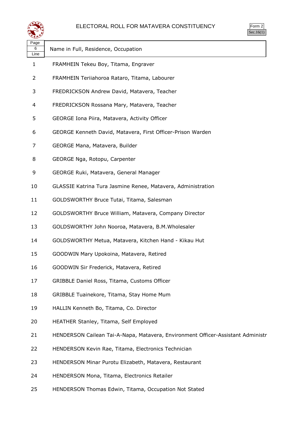

| orm |  |
|-----|--|
|     |  |

| Name in Full, Residence, Occupation                                             |
|---------------------------------------------------------------------------------|
| FRAMHEIN Tekeu Boy, Titama, Engraver                                            |
| FRAMHEIN Teriiahoroa Rataro, Titama, Labourer                                   |
| FREDRICKSON Andrew David, Matavera, Teacher                                     |
| FREDRICKSON Rossana Mary, Matavera, Teacher                                     |
| GEORGE Iona Piira, Matavera, Activity Officer                                   |
| GEORGE Kenneth David, Matavera, First Officer-Prison Warden                     |
| GEORGE Mana, Matavera, Builder                                                  |
| GEORGE Nga, Rotopu, Carpenter                                                   |
| GEORGE Ruki, Matavera, General Manager                                          |
| GLASSIE Katrina Tura Jasmine Renee, Matavera, Administration                    |
| GOLDSWORTHY Bruce Tutai, Titama, Salesman                                       |
| GOLDSWORTHY Bruce William, Matavera, Company Director                           |
| GOLDSWORTHY John Nooroa, Matavera, B.M.Wholesaler                               |
| GOLDSWORTHY Metua, Matavera, Kitchen Hand - Kikau Hut                           |
| GOODWIN Mary Upokoina, Matavera, Retired                                        |
| GOODWIN Sir Frederick, Matavera, Retired                                        |
| GRIBBLE Daniel Ross, Titama, Customs Officer                                    |
| GRIBBLE Tuainekore, Titama, Stay Home Mum                                       |
| HALLIN Kenneth Bo, Titama, Co. Director                                         |
| HEATHER Stanley, Titama, Self Employed                                          |
| HENDERSON Cailean Tai-A-Napa, Matavera, Environment Officer-Assistant Administr |
| HENDERSON Kevin Rae, Titama, Electronics Technician                             |
| HENDERSON Minar Purotu Elizabeth, Matavera, Restaurant                          |
| HENDERSON Mona, Titama, Electronics Retailer                                    |
|                                                                                 |

HENDERSON Thomas Edwin, Titama, Occupation Not Stated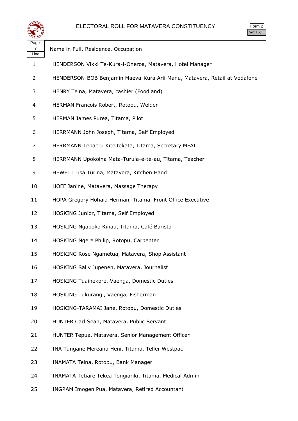

| Page<br>7<br>Line | Name in Full, Residence, Occupation                                       |
|-------------------|---------------------------------------------------------------------------|
| $\mathbf{1}$      | HENDERSON Vikki Te-Kura-i-Oneroa, Matavera, Hotel Manager                 |
| 2                 | HENDERSON-BOB Benjamin Maeva-Kura Arii Manu, Matavera, Retail at Vodafone |
| 3                 | HENRY Teina, Matavera, cashier (Foodland)                                 |
| 4                 | HERMAN Francois Robert, Rotopu, Welder                                    |
| 5                 | HERMAN James Purea, Titama, Pilot                                         |
| 6                 | HERRMANN John Joseph, Titama, Self Employed                               |
| 7                 | HERRMANN Tepaeru Kiteitekata, Titama, Secretary MFAI                      |
| 8                 | HERRMANN Upokoina Mata-Turuia-e-te-au, Titama, Teacher                    |
| 9                 | HEWETT Lisa Turina, Matavera, Kitchen Hand                                |
| 10                | HOFF Janine, Matavera, Massage Therapy                                    |
| 11                | HOPA Gregory Hohaia Herman, Titama, Front Office Executive                |
| 12                | HOSKING Junior, Titama, Self Employed                                     |
| 13                | HOSKING Ngapoko Kinau, Titama, Café Barista                               |
| 14                | HOSKING Ngere Philip, Rotopu, Carpenter                                   |
| 15                | HOSKING Rose Ngametua, Matavera, Shop Assistant                           |
| 16                | HOSKING Sally Jupenen, Matavera, Journalist                               |
| 17                | HOSKING Tuainekore, Vaenga, Domestic Duties                               |
| 18                | HOSKING Tukurangi, Vaenga, Fisherman                                      |
| 19                | HOSKING-TARAMAI Jane, Rotopu, Domestic Duties                             |
| 20                | HUNTER Carl Sean, Matavera, Public Servant                                |
| 21                | HUNTER Tepua, Matavera, Senior Management Officer                         |
| 22                | INA Tungane Mereana Heni, Titama, Teller Westpac                          |
| 23                | INAMATA Teina, Rotopu, Bank Manager                                       |
| 24                | INAMATA Tetiare Tekea Tongiariki, Titama, Medical Admin                   |
|                   |                                                                           |

INGRAM Imogen Pua, Matavera, Retired Accountant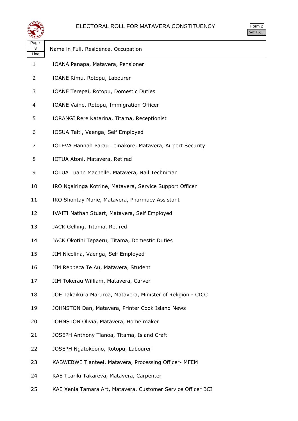

| orm<br>╭ |
|----------|
| ` 1      |

| ∼<br>Page<br>8       | Name in Full, Residence, Occupation                          |
|----------------------|--------------------------------------------------------------|
| Line<br>$\mathbf{1}$ | IOANA Panapa, Matavera, Pensioner                            |
| 2                    | IOANE Rimu, Rotopu, Labourer                                 |
| 3                    | IOANE Terepai, Rotopu, Domestic Duties                       |
| 4                    | IOANE Vaine, Rotopu, Immigration Officer                     |
| 5                    | IORANGI Rere Katarina, Titama, Receptionist                  |
| 6                    | IOSUA Taiti, Vaenga, Self Employed                           |
| 7                    | IOTEVA Hannah Parau Teinakore, Matavera, Airport Security    |
| 8                    | IOTUA Atoni, Matavera, Retired                               |
| 9                    | IOTUA Luann Machelle, Matavera, Nail Technician              |
| 10                   | IRO Ngairinga Kotrine, Matavera, Service Support Officer     |
| 11                   | IRO Shontay Marie, Matavera, Pharmacy Assistant              |
| 12                   | IVAITI Nathan Stuart, Matavera, Self Employed                |
| 13                   | JACK Gelling, Titama, Retired                                |
| 14                   | JACK Okotini Tepaeru, Titama, Domestic Duties                |
| 15                   | JIM Nicolina, Vaenga, Self Employed                          |
| 16                   | JIM Rebbeca Te Au, Matavera, Student                         |
| 17                   | JIM Tokerau William, Matavera, Carver                        |
| 18                   | JOE Takaikura Maruroa, Matavera, Minister of Religion - CICC |
| 19                   | JOHNSTON Dan, Matavera, Printer Cook Island News             |
| 20                   | JOHNSTON Olivia, Matavera, Home maker                        |
| 21                   | JOSEPH Anthony Tianoa, Titama, Island Craft                  |
| 22                   | JOSEPH Ngatokoono, Rotopu, Labourer                          |
| 23                   | KABWEBWE Tianteei, Matavera, Processing Officer- MFEM        |
| 24                   | KAE Teariki Takareva, Matavera, Carpenter                    |

KAE Xenia Tamara Art, Matavera, Customer Service Officer BCI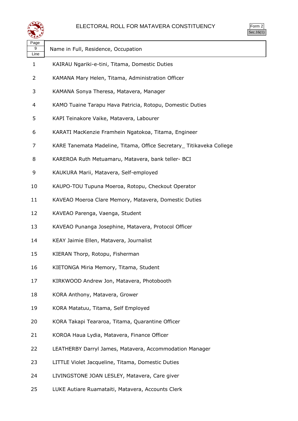

| orm<br>╯ |
|----------|
| ۰ ا      |

| Page<br>9<br>Line | Name in Full, Residence, Occupation                                  |
|-------------------|----------------------------------------------------------------------|
| 1                 | KAIRAU Ngariki-e-tini, Titama, Domestic Duties                       |
| 2                 | KAMANA Mary Helen, Titama, Administration Officer                    |
| 3                 | KAMANA Sonya Theresa, Matavera, Manager                              |
| 4                 | KAMO Tuaine Tarapu Hava Patricia, Rotopu, Domestic Duties            |
| 5                 | KAPI Teinakore Vaike, Matavera, Labourer                             |
| 6                 | KARATI MacKenzie Framhein Ngatokoa, Titama, Engineer                 |
| 7                 | KARE Tanemata Madeline, Titama, Office Secretary_ Titikaveka College |
| 8                 | KAREROA Ruth Metuamaru, Matavera, bank teller- BCI                   |
| 9                 | KAUKURA Marii, Matavera, Self-employed                               |
| 10                | KAUPO-TOU Tupuna Moeroa, Rotopu, Checkout Operator                   |
| 11                | KAVEAO Moeroa Clare Memory, Matavera, Domestic Duties                |
| 12                | KAVEAO Parenga, Vaenga, Student                                      |
| 13                | KAVEAO Punanga Josephine, Matavera, Protocol Officer                 |
| 14                | KEAY Jaimie Ellen, Matavera, Journalist                              |
| 15                | KIERAN Thorp, Rotopu, Fisherman                                      |
| 16                | KIETONGA Miria Memory, Titama, Student                               |
| 17                | KIRKWOOD Andrew Jon, Matavera, Photobooth                            |
| 18                | KORA Anthony, Matavera, Grower                                       |
| 19                | KORA Matatuu, Titama, Self Employed                                  |
| 20                | KORA Takapi Teararoa, Titama, Quarantine Officer                     |
| 21                | KOROA Haua Lydia, Matavera, Finance Officer                          |
| 22                | LEATHERBY Darryl James, Matavera, Accommodation Manager              |
| 23                | LITTLE Violet Jacqueline, Titama, Domestic Duties                    |
| 24                | LIVINGSTONE JOAN LESLEY, Matavera, Care giver                        |

LUKE Autiare Ruamataiti, Matavera, Accounts Clerk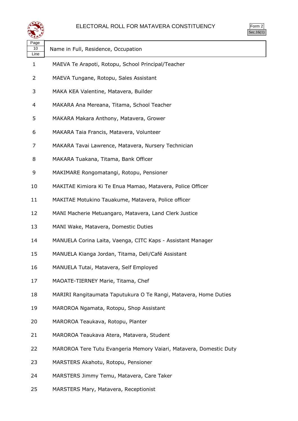

| orm<br>ッ |  |
|----------|--|
| ` 1      |  |

| . ugu<br>10<br>Line | Name in Full, Residence, Occupation                                |
|---------------------|--------------------------------------------------------------------|
| 1                   | MAEVA Te Arapoti, Rotopu, School Principal/Teacher                 |
| 2                   | MAEVA Tungane, Rotopu, Sales Assistant                             |
| 3                   | MAKA KEA Valentine, Matavera, Builder                              |
| 4                   | MAKARA Ana Mereana, Titama, School Teacher                         |
| 5                   | MAKARA Makara Anthony, Matavera, Grower                            |
| 6                   | MAKARA Taia Francis, Matavera, Volunteer                           |
| 7                   | MAKARA Tavai Lawrence, Matavera, Nursery Technician                |
| 8                   | MAKARA Tuakana, Titama, Bank Officer                               |
| 9                   | MAKIMARE Rongomatangi, Rotopu, Pensioner                           |
| 10                  | MAKITAE Kimiora Ki Te Enua Mamao, Matavera, Police Officer         |
| 11                  | MAKITAE Motukino Tauakume, Matavera, Police officer                |
| 12                  | MANI Macherie Metuangaro, Matavera, Land Clerk Justice             |
| 13                  | MANI Wake, Matavera, Domestic Duties                               |
| 14                  | MANUELA Corina Laita, Vaenga, CITC Kaps - Assistant Manager        |
| 15                  | MANUELA Kianga Jordan, Titama, Deli/Café Assistant                 |
| 16                  | MANUELA Tutai, Matavera, Self Employed                             |
| 17                  | MAOATE-TIERNEY Marie, Titama, Chef                                 |
| 18                  | MARIRI Rangitaumata Taputukura O Te Rangi, Matavera, Home Duties   |
| 19                  | MAROROA Ngamata, Rotopu, Shop Assistant                            |
| 20                  | MAROROA Teaukava, Rotopu, Planter                                  |
| 21                  | MAROROA Teaukava Atera, Matavera, Student                          |
| 22                  | MAROROA Tere Tutu Evangeria Memory Vaiari, Matavera, Domestic Duty |
| 23                  | MARSTERS Akahotu, Rotopu, Pensioner                                |
| 24                  | MARSTERS Jimmy Temu, Matavera, Care Taker                          |

MARSTERS Mary, Matavera, Receptionist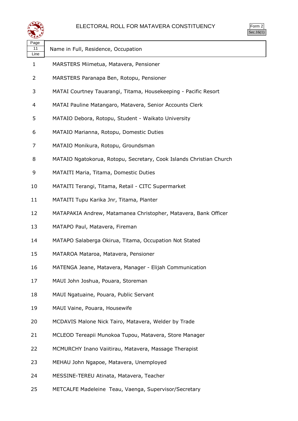

| Page       |                                                                     |
|------------|---------------------------------------------------------------------|
| 11<br>Line | Name in Full, Residence, Occupation                                 |
| 1          | MARSTERS Miimetua, Matavera, Pensioner                              |
| 2          | MARSTERS Paranapa Ben, Rotopu, Pensioner                            |
| 3          | MATAI Courtney Tauarangi, Titama, Housekeeping - Pacific Resort     |
| 4          | MATAI Pauline Matangaro, Matavera, Senior Accounts Clerk            |
| 5          | MATAIO Debora, Rotopu, Student - Waikato University                 |
| 6          | MATAIO Marianna, Rotopu, Domestic Duties                            |
| 7          | MATAIO Monikura, Rotopu, Groundsman                                 |
| 8          | MATAIO Ngatokorua, Rotopu, Secretary, Cook Islands Christian Church |
| 9          | MATAITI Maria, Titama, Domestic Duties                              |
| 10         | MATAITI Terangi, Titama, Retail - CITC Supermarket                  |
| 11         | MATAITI Tupu Karika Jnr, Titama, Planter                            |
| 12         | MATAPAKIA Andrew, Matamanea Christopher, Matavera, Bank Officer     |
| 13         | MATAPO Paul, Matavera, Fireman                                      |
| 14         | MATAPO Salaberga Okirua, Titama, Occupation Not Stated              |
| 15         | MATAROA Mataroa, Matavera, Pensioner                                |
| 16         | MATENGA Jeane, Matavera, Manager - Elijah Communication             |
| 17         | MAUI John Joshua, Pouara, Storeman                                  |
| 18         | MAUI Ngatuaine, Pouara, Public Servant                              |
| 19         | MAUI Vaine, Pouara, Housewife                                       |
| 20         | MCDAVIS Malone Nick Tairo, Matavera, Welder by Trade                |
| 21         | MCLEOD Tereapii Munokoa Tupou, Matavera, Store Manager              |
| 22         | MCMURCHY Inano Vaiitirau, Matavera, Massage Therapist               |
| 23         | MEHAU John Ngapoe, Matavera, Unemployed                             |
| 24         | MESSINE-TEREU Atinata, Matavera, Teacher                            |
| 25         | METCALFE Madeleine Teau, Vaenga, Supervisor/Secretary               |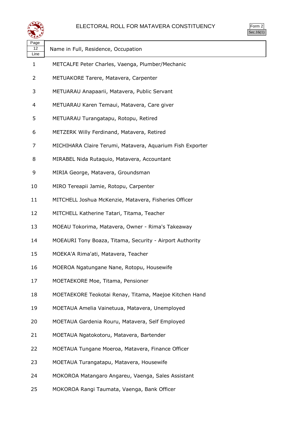

| Page<br>12<br>Line | Name in Full, Residence, Occupation                       |
|--------------------|-----------------------------------------------------------|
| 1                  | METCALFE Peter Charles, Vaenga, Plumber/Mechanic          |
| 2                  | METUAKORE Tarere, Matavera, Carpenter                     |
| 3                  | METUARAU Anapaarii, Matavera, Public Servant              |
| 4                  | METUARAU Karen Temaui, Matavera, Care giver               |
| 5                  | METUARAU Turangatapu, Rotopu, Retired                     |
| 6                  | METZERK Willy Ferdinand, Matavera, Retired                |
| 7                  | MICHIHARA Claire Terumi, Matavera, Aquarium Fish Exporter |
| 8                  | MIRABEL Nida Rutaquio, Matavera, Accountant               |
| 9                  | MIRIA George, Matavera, Groundsman                        |
| 10                 | MIRO Tereapii Jamie, Rotopu, Carpenter                    |
| 11                 | MITCHELL Joshua McKenzie, Matavera, Fisheries Officer     |
| 12                 | MITCHELL Katherine Tatari, Titama, Teacher                |
| 13                 | MOEAU Tokorima, Matavera, Owner - Rima's Takeaway         |
| 14                 | MOEAURI Tony Boaza, Titama, Security - Airport Authority  |
| 15                 | MOEKA'A Rima'ati, Matavera, Teacher                       |
| 16                 | MOEROA Ngatungane Nane, Rotopu, Housewife                 |
| 17                 | MOETAEKORE Moe, Titama, Pensioner                         |
| 18                 | MOETAEKORE Teokotai Renay, Titama, Maejoe Kitchen Hand    |
| 19                 | MOETAUA Amelia Vainetuua, Matavera, Unemployed            |
| 20                 | MOETAUA Gardenia Rouru, Matavera, Self Employed           |
| 21                 | MOETAUA Ngatokotoru, Matavera, Bartender                  |
| 22                 | MOETAUA Tungane Moeroa, Matavera, Finance Officer         |
| 23                 | MOETAUA Turangatapu, Matavera, Housewife                  |
| 24                 | MOKOROA Matangaro Angareu, Vaenga, Sales Assistant        |
|                    |                                                           |

MOKOROA Rangi Taumata, Vaenga, Bank Officer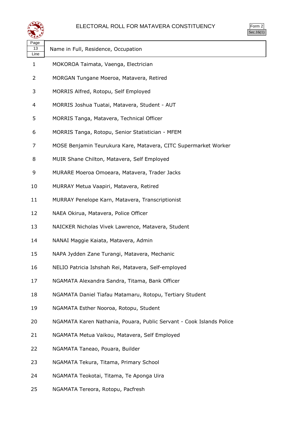

| Page<br>13<br>Line | Name in Full, Residence, Occupation                                  |
|--------------------|----------------------------------------------------------------------|
| 1                  | MOKOROA Taimata, Vaenga, Electrician                                 |
| 2                  | MORGAN Tungane Moeroa, Matavera, Retired                             |
| 3                  | MORRIS Alfred, Rotopu, Self Employed                                 |
| 4                  | MORRIS Joshua Tuatai, Matavera, Student - AUT                        |
| 5                  | MORRIS Tanga, Matavera, Technical Officer                            |
| 6                  | MORRIS Tanga, Rotopu, Senior Statistician - MFEM                     |
| 7                  | MOSE Benjamin Teurukura Kare, Matavera, CITC Supermarket Worker      |
| 8                  | MUIR Shane Chilton, Matavera, Self Employed                          |
| 9                  | MURARE Moeroa Omoeara, Matavera, Trader Jacks                        |
| 10                 | MURRAY Metua Vaapiri, Matavera, Retired                              |
| 11                 | MURRAY Penelope Karn, Matavera, Transcriptionist                     |
| 12                 | NAEA Okirua, Matavera, Police Officer                                |
| 13                 | NAICKER Nicholas Vivek Lawrence, Matavera, Student                   |
| 14                 | NANAI Maggie Kaiata, Matavera, Admin                                 |
| 15                 | NAPA Jydden Zane Turangi, Matavera, Mechanic                         |
| 16                 | NELIO Patricia Ishshah Rei, Matavera, Self-employed                  |
| 17                 | NGAMATA Alexandra Sandra, Titama, Bank Officer                       |
| 18                 | NGAMATA Daniel Tiafau Matamaru, Rotopu, Tertiary Student             |
| 19                 | NGAMATA Esther Nooroa, Rotopu, Student                               |
| 20                 | NGAMATA Karen Nathania, Pouara, Public Servant - Cook Islands Police |
| 21                 | NGAMATA Metua Vaikou, Matavera, Self Employed                        |
| 22                 | NGAMATA Taneao, Pouara, Builder                                      |
| 23                 | NGAMATA Tekura, Titama, Primary School                               |
| 24                 | NGAMATA Teokotai, Titama, Te Aponga Uira                             |

NGAMATA Tereora, Rotopu, Pacfresh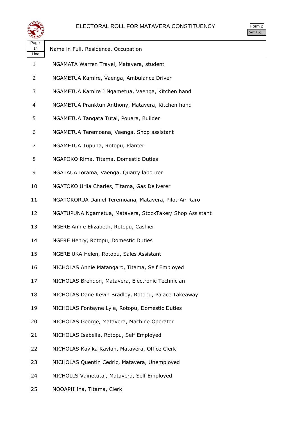

| Page<br>14<br>Line | Name in Full, Residence, Occupation                      |
|--------------------|----------------------------------------------------------|
| 1                  | NGAMATA Warren Travel, Matavera, student                 |
| 2                  | NGAMETUA Kamire, Vaenga, Ambulance Driver                |
| 3                  | NGAMETUA Kamire J Ngametua, Vaenga, Kitchen hand         |
| 4                  | NGAMETUA Pranktun Anthony, Matavera, Kitchen hand        |
| 5                  | NGAMETUA Tangata Tutai, Pouara, Builder                  |
| 6                  | NGAMETUA Teremoana, Vaenga, Shop assistant               |
| 7                  | NGAMETUA Tupuna, Rotopu, Planter                         |
| 8                  | NGAPOKO Rima, Titama, Domestic Duties                    |
| 9                  | NGATAUA Iorama, Vaenga, Quarry labourer                  |
| 10                 | NGATOKO Uriia Charles, Titama, Gas Deliverer             |
| 11                 | NGATOKORUA Daniel Teremoana, Matavera, Pilot-Air Raro    |
| 12                 | NGATUPUNA Ngametua, Matavera, StockTaker/ Shop Assistant |
| 13                 | NGERE Annie Elizabeth, Rotopu, Cashier                   |
| 14                 | NGERE Henry, Rotopu, Domestic Duties                     |
| 15                 | NGERE UKA Helen, Rotopu, Sales Assistant                 |
| 16                 | NICHOLAS Annie Matangaro, Titama, Self Employed          |
| 17                 | NICHOLAS Brendon, Matavera, Electronic Technician        |
| 18                 | NICHOLAS Dane Kevin Bradley, Rotopu, Palace Takeaway     |
| 19                 | NICHOLAS Fonteyne Lyle, Rotopu, Domestic Duties          |
| 20                 | NICHOLAS George, Matavera, Machine Operator              |
| 21                 | NICHOLAS Isabella, Rotopu, Self Employed                 |
| 22                 | NICHOLAS Kavika Kaylan, Matavera, Office Clerk           |
| 23                 | NICHOLAS Quentin Cedric, Matavera, Unemployed            |
| 24                 | NICHOLLS Vainetutai, Matavera, Self Employed             |

NOOAPII Ina, Titama, Clerk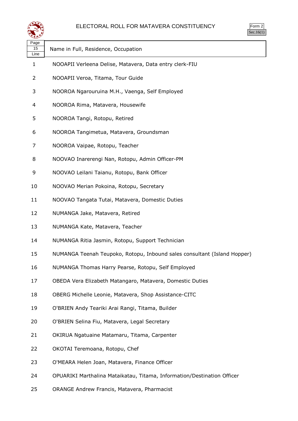

| 2r<br>╯ |
|---------|
| ` 1     |

| Page<br>15<br>Line | Name in Full, Residence, Occupation                                      |
|--------------------|--------------------------------------------------------------------------|
| 1                  | NOOAPII Verleena Delise, Matavera, Data entry clerk-FIU                  |
| 2                  | NOOAPII Veroa, Titama, Tour Guide                                        |
| 3                  | NOOROA Ngarouruina M.H., Vaenga, Self Employed                           |
| 4                  | NOOROA Rima, Matavera, Housewife                                         |
| 5                  | NOOROA Tangi, Rotopu, Retired                                            |
| 6                  | NOOROA Tangimetua, Matavera, Groundsman                                  |
| 7                  | NOOROA Vaipae, Rotopu, Teacher                                           |
| 8                  | NOOVAO Inarerengi Nan, Rotopu, Admin Officer-PM                          |
| 9                  | NOOVAO Leilani Taianu, Rotopu, Bank Officer                              |
| 10                 | NOOVAO Merian Pokoina, Rotopu, Secretary                                 |
| 11                 | NOOVAO Tangata Tutai, Matavera, Domestic Duties                          |
| 12                 | NUMANGA Jake, Matavera, Retired                                          |
| 13                 | NUMANGA Kate, Matavera, Teacher                                          |
| 14                 | NUMANGA Ritia Jasmin, Rotopu, Support Technician                         |
| 15                 | NUMANGA Teenah Teupoko, Rotopu, Inbound sales consultant (Island Hopper) |
| 16                 | NUMANGA Thomas Harry Pearse, Rotopu, Self Employed                       |
| 17                 | OBEDA Vera Elizabeth Matangaro, Matavera, Domestic Duties                |
| 18                 | OBERG Michelle Leonie, Matavera, Shop Assistance-CITC                    |
| 19                 | O'BRIEN Andy Teariki Arai Rangi, Titama, Builder                         |
| 20                 | O'BRIEN Selina Fiu, Matavera, Legal Secretary                            |
| 21                 | OKIRUA Ngatuaine Matamaru, Titama, Carpenter                             |
| 22                 | OKOTAI Teremoana, Rotopu, Chef                                           |
| 23                 | O'MEARA Helen Joan, Matavera, Finance Officer                            |
| 24                 | OPUARIKI Marthalina Mataikatau, Titama, Information/Destination Officer  |

ORANGE Andrew Francis, Matavera, Pharmacist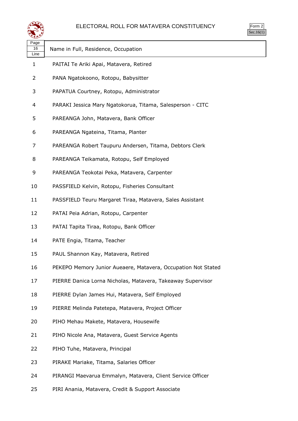

| لترويع                 |                                                               |  |
|------------------------|---------------------------------------------------------------|--|
| Page<br>$16\,$<br>Line | Name in Full, Residence, Occupation                           |  |
| 1                      | PAITAI Te Ariki Apai, Matavera, Retired                       |  |
| 2                      | PANA Ngatokoono, Rotopu, Babysitter                           |  |
| 3                      | PAPATUA Courtney, Rotopu, Administrator                       |  |
| 4                      | PARAKI Jessica Mary Ngatokorua, Titama, Salesperson - CITC    |  |
| 5                      | PAREANGA John, Matavera, Bank Officer                         |  |
| 6                      | PAREANGA Ngateina, Titama, Planter                            |  |
| 7                      | PAREANGA Robert Taupuru Andersen, Titama, Debtors Clerk       |  |
| 8                      | PAREANGA Teikamata, Rotopu, Self Employed                     |  |
| 9                      | PAREANGA Teokotai Peka, Matavera, Carpenter                   |  |
| 10                     | PASSFIELD Kelvin, Rotopu, Fisheries Consultant                |  |
| 11                     | PASSFIELD Teuru Margaret Tiraa, Matavera, Sales Assistant     |  |
| 12                     | PATAI Peia Adrian, Rotopu, Carpenter                          |  |
| 13                     | PATAI Tapita Tiraa, Rotopu, Bank Officer                      |  |
| 14                     | PATE Engia, Titama, Teacher                                   |  |
| 15                     | PAUL Shannon Kay, Matavera, Retired                           |  |
| 16                     | PEKEPO Memory Junior Aueaere, Matavera, Occupation Not Stated |  |
| 17                     | PIERRE Danica Lorna Nicholas, Matavera, Takeaway Supervisor   |  |
| 18                     | PIERRE Dylan James Hui, Matavera, Self Employed               |  |
| 19                     | PIERRE Melinda Patetepa, Matavera, Project Officer            |  |
| 20                     | PIHO Mehau Makete, Matavera, Housewife                        |  |
| 21                     | PIHO Nicole Ana, Matavera, Guest Service Agents               |  |
| 22                     | PIHO Tuhe, Matavera, Principal                                |  |
| 23                     | PIRAKE Mariake, Titama, Salaries Officer                      |  |
| 24                     | PIRANGI Maevarua Emmalyn, Matavera, Client Service Officer    |  |

PIRI Anania, Matavera, Credit & Support Associate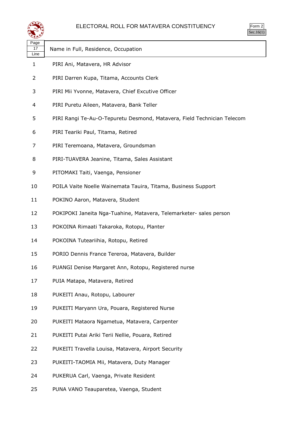

| $\mathsf{m}$<br>╯ |
|-------------------|
|                   |

|                    |                                                                         | Sec.16 |
|--------------------|-------------------------------------------------------------------------|--------|
| Page<br>17<br>Line | Name in Full, Residence, Occupation                                     |        |
| 1                  | PIRI Ani, Matavera, HR Advisor                                          |        |
| 2                  | PIRI Darren Kupa, Titama, Accounts Clerk                                |        |
| 3                  | PIRI Mii Yvonne, Matavera, Chief Excutive Officer                       |        |
| 4                  | PIRI Puretu Aileen, Matavera, Bank Teller                               |        |
| 5                  | PIRI Rangi Te-Au-O-Tepuretu Desmond, Matavera, Field Technician Telecom |        |
| 6                  | PIRI Teariki Paul, Titama, Retired                                      |        |
| 7                  | PIRI Teremoana, Matavera, Groundsman                                    |        |
| 8                  | PIRI-TUAVERA Jeanine, Titama, Sales Assistant                           |        |
| 9                  | PITOMAKI Taiti, Vaenga, Pensioner                                       |        |
| 10                 | POILA Vaite Noelle Wainemata Tauira, Titama, Business Support           |        |
| 11                 | POKINO Aaron, Matavera, Student                                         |        |
| 12                 | POKIPOKI Janeita Nga-Tuahine, Matavera, Telemarketer- sales person      |        |
| 13                 | POKOINA Rimaati Takaroka, Rotopu, Planter                               |        |
| 14                 | POKOINA Tuteariihia, Rotopu, Retired                                    |        |
| 15                 | PORIO Dennis France Tereroa, Matavera, Builder                          |        |
| 16                 | PUANGI Denise Margaret Ann, Rotopu, Registered nurse                    |        |
| 17                 | PUIA Matapa, Matavera, Retired                                          |        |
| 18                 | PUKEITI Anau, Rotopu, Labourer                                          |        |
| 19                 | PUKEITI Maryann Ura, Pouara, Registered Nurse                           |        |
| 20                 | PUKEITI Mataora Ngametua, Matavera, Carpenter                           |        |
| 21                 | PUKEITI Putai Ariki Terii Nellie, Pouara, Retired                       |        |
| 22                 | PUKEITI Travella Louisa, Matavera, Airport Security                     |        |
| 23                 | PUKEITI-TAOMIA Mii, Matavera, Duty Manager                              |        |
| 24                 | PUKERUA Carl, Vaenga, Private Resident                                  |        |
| 25                 | PUNA VANO Teauparetea, Vaenga, Student                                  |        |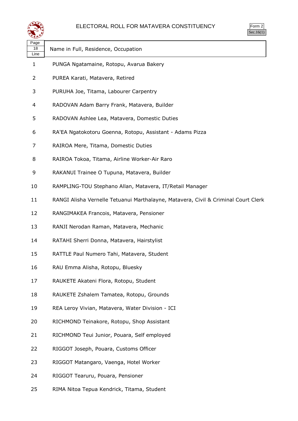

| ີ້ີ້               |                                                                                    |
|--------------------|------------------------------------------------------------------------------------|
| Page<br>18<br>Line | Name in Full, Residence, Occupation                                                |
| 1                  | PUNGA Ngatamaine, Rotopu, Avarua Bakery                                            |
| 2                  | PUREA Karati, Matavera, Retired                                                    |
| 3                  | PURUHA Joe, Titama, Labourer Carpentry                                             |
| 4                  | RADOVAN Adam Barry Frank, Matavera, Builder                                        |
| 5                  | RADOVAN Ashlee Lea, Matavera, Domestic Duties                                      |
| 6                  | RA'EA Ngatokotoru Goenna, Rotopu, Assistant - Adams Pizza                          |
| 7                  | RAIROA Mere, Titama, Domestic Duties                                               |
| 8                  | RAIROA Tokoa, Titama, Airline Worker-Air Raro                                      |
| 9                  | RAKANUI Trainee O Tupuna, Matavera, Builder                                        |
| 10                 | RAMPLING-TOU Stephano Allan, Matavera, IT/Retail Manager                           |
| 11                 | RANGI Alisha Vernelle Tetuanui Marthalayne, Matavera, Civil & Criminal Court Clerk |
| 12                 | RANGIMAKEA Francois, Matavera, Pensioner                                           |
| 13                 | RANJI Nerodan Raman, Matavera, Mechanic                                            |
| 14                 | RATAHI Sherri Donna, Matavera, Hairstylist                                         |
| 15                 | RATTLE Paul Numero Tahi, Matavera, Student                                         |
| 16                 | RAU Emma Alisha, Rotopu, Bluesky                                                   |
| 17                 | RAUKETE Akateni Flora, Rotopu, Student                                             |
| 18                 | RAUKETE Zshalem Tamatea, Rotopu, Grounds                                           |
| 19                 | REA Leroy Vivian, Matavera, Water Division - ICI                                   |
| 20                 | RICHMOND Teinakore, Rotopu, Shop Assistant                                         |
| 21                 | RICHMOND Teui Junior, Pouara, Self employed                                        |
| 22                 | RIGGOT Joseph, Pouara, Customs Officer                                             |
| 23                 | RIGGOT Matangaro, Vaenga, Hotel Worker                                             |
| 24                 | RIGGOT Tearuru, Pouara, Pensioner                                                  |
| 25                 | RIMA Nitoa Tepua Kendrick, Titama, Student                                         |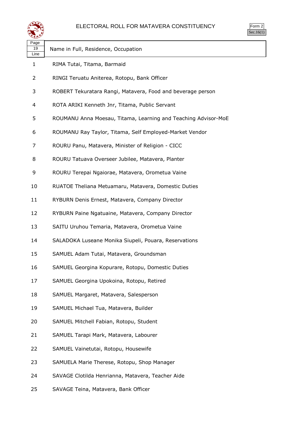

| Page<br>19<br>Line | Name in Full, Residence, Occupation                            |
|--------------------|----------------------------------------------------------------|
| 1                  | RIMA Tutai, Titama, Barmaid                                    |
| 2                  | RINGI Teruatu Aniterea, Rotopu, Bank Officer                   |
| 3                  | ROBERT Tekuratara Rangi, Matavera, Food and beverage person    |
| 4                  | ROTA ARIKI Kenneth Jnr, Titama, Public Servant                 |
| 5                  | ROUMANU Anna Moesau, Titama, Learning and Teaching Advisor-MoE |
| 6                  | ROUMANU Ray Taylor, Titama, Self Employed-Market Vendor        |
| 7                  | ROURU Panu, Matavera, Minister of Religion - CICC              |
| 8                  | ROURU Tatuava Overseer Jubilee, Matavera, Planter              |
| 9                  | ROURU Terepai Ngaiorae, Matavera, Orometua Vaine               |
| 10                 | RUATOE Theliana Metuamaru, Matavera, Domestic Duties           |
| 11                 | RYBURN Denis Ernest, Matavera, Company Director                |
| 12                 | RYBURN Paine Ngatuaine, Matavera, Company Director             |
| 13                 | SAITU Uruhou Temaria, Matavera, Orometua Vaine                 |
| 14                 | SALADOKA Luseane Monika Siupeli, Pouara, Reservations          |
| 15                 | SAMUEL Adam Tutai, Matavera, Groundsman                        |
| 16                 | SAMUEL Georgina Kopurare, Rotopu, Domestic Duties              |
| 17                 | SAMUEL Georgina Upokoina, Rotopu, Retired                      |
| 18                 | SAMUEL Margaret, Matavera, Salesperson                         |
| 19                 | SAMUEL Michael Tua, Matavera, Builder                          |
| 20                 | SAMUEL Mitchell Fabian, Rotopu, Student                        |
| 21                 | SAMUEL Tarapi Mark, Matavera, Labourer                         |
| 22                 | SAMUEL Vainetutai, Rotopu, Housewife                           |
| 23                 | SAMUELA Marie Therese, Rotopu, Shop Manager                    |
| 24                 | SAVAGE Clotilda Henrianna, Matavera, Teacher Aide              |
| 25                 | SAVAGE Teina, Matavera, Bank Officer                           |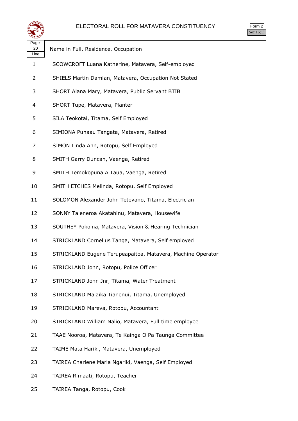

| Page<br>20<br>Line       | Name in Full, Residence, Occupation                         |
|--------------------------|-------------------------------------------------------------|
| 1                        | SCOWCROFT Luana Katherine, Matavera, Self-employed          |
| $\overline{2}$           | SHIELS Martin Damian, Matavera, Occupation Not Stated       |
| 3                        | SHORT Alana Mary, Matavera, Public Servant BTIB             |
| $\overline{\mathcal{A}}$ | SHORT Tupe, Matavera, Planter                               |
| 5                        | SILA Teokotai, Titama, Self Employed                        |
| 6                        | SIMIONA Punaau Tangata, Matavera, Retired                   |
| 7                        | SIMON Linda Ann, Rotopu, Self Employed                      |
| 8                        | SMITH Garry Duncan, Vaenga, Retired                         |
| 9                        | SMITH Temokopuna A Taua, Vaenga, Retired                    |
| 10                       | SMITH ETCHES Melinda, Rotopu, Self Employed                 |
| 11                       | SOLOMON Alexander John Tetevano, Titama, Electrician        |
| 12                       | SONNY Taieneroa Akatahinu, Matavera, Housewife              |
| 13                       | SOUTHEY Pokoina, Matavera, Vision & Hearing Technician      |
| 14                       | STRICKLAND Cornelius Tanga, Matavera, Self employed         |
| 15                       | STRICKLAND Eugene Terupeapaitoa, Matavera, Machine Operator |
| 16                       | STRICKLAND John, Rotopu, Police Officer                     |
| 17                       | STRICKLAND John Jnr, Titama, Water Treatment                |
| 18                       | STRICKLAND Malaika Tianenui, Titama, Unemployed             |
| 19                       | STRICKLAND Mareva, Rotopu, Accountant                       |
| 20                       | STRICKLAND William Nalio, Matavera, Full time employee      |
| 21                       | TAAE Nooroa, Matavera, Te Kainga O Pa Taunga Committee      |
| 22                       | TAIME Mata Hariki, Matavera, Unemployed                     |
| 23                       | TAIREA Charlene Maria Ngariki, Vaenga, Self Employed        |
| 24                       | TAIREA Rimaati, Rotopu, Teacher                             |

TAIREA Tanga, Rotopu, Cook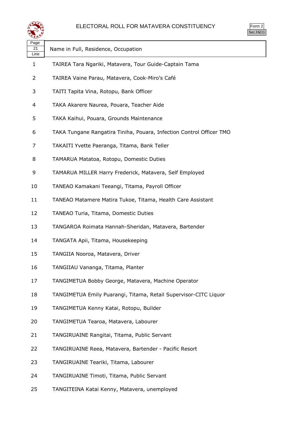

| orm<br>╯ |  |
|----------|--|
|          |  |

| Page<br>21<br>Line | Name in Full, Residence, Occupation                                  |
|--------------------|----------------------------------------------------------------------|
| 1                  | TAIREA Tara Ngariki, Matavera, Tour Guide-Captain Tama               |
| 2                  | TAIREA Vaine Parau, Matavera, Cook-Miro's Café                       |
| 3                  | TAITI Tapita Vina, Rotopu, Bank Officer                              |
| 4                  | TAKA Akarere Naurea, Pouara, Teacher Aide                            |
| 5                  | TAKA Kaihui, Pouara, Grounds Maintenance                             |
| 6                  | TAKA Tungane Rangatira Tiniha, Pouara, Infection Control Officer TMO |
| 7                  | TAKAITI Yvette Paeranga, Titama, Bank Teller                         |
| 8                  | TAMARUA Matatoa, Rotopu, Domestic Duties                             |
| 9                  | TAMARUA MILLER Harry Frederick, Matavera, Self Employed              |
| 10                 | TANEAO Kamakani Teeangi, Titama, Payroll Officer                     |
| 11                 | TANEAO Matamere Matira Tukoe, Titama, Health Care Assistant          |
| 12                 | TANEAO Turia, Titama, Domestic Duties                                |
| 13                 | TANGAROA Roimata Hannah-Sheridan, Matavera, Bartender                |
| 14                 | TANGATA Apii, Titama, Housekeeping                                   |
| 15                 | TANGIIA Nooroa, Matavera, Driver                                     |
| 16                 | TANGIIAU Vananga, Titama, Planter                                    |
| 17                 | TANGIMETUA Bobby George, Matavera, Machine Operator                  |
| 18                 | TANGIMETUA Emily Puarangi, Titama, Retail Supervisor-CITC Liquor     |
| 19                 | TANGIMETUA Kenny Katai, Rotopu, Builder                              |
| 20                 | TANGIMETUA Tearoa, Matavera, Labourer                                |
| 21                 | TANGIRUAINE Rangitai, Titama, Public Servant                         |
| 22                 | TANGIRUAINE Reea, Matavera, Bartender - Pacific Resort               |
| 23                 | TANGIRUAINE Teariki, Titama, Labourer                                |
| 24                 | TANGIRUAINE Timoti, Titama, Public Servant                           |
|                    |                                                                      |

TANGITEINA Katai Kenny, Matavera, unemployed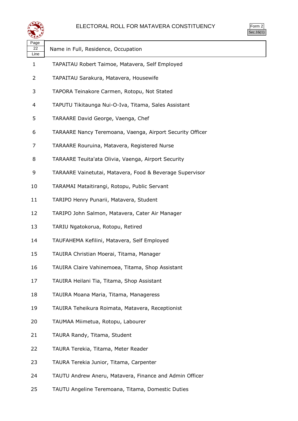

| Page<br>22<br>Line | Name in Full, Residence, Occupation                       |
|--------------------|-----------------------------------------------------------|
| 1                  | TAPAITAU Robert Taimoe, Matavera, Self Employed           |
| 2                  | TAPAITAU Sarakura, Matavera, Housewife                    |
| 3                  | TAPORA Teinakore Carmen, Rotopu, Not Stated               |
| 4                  | TAPUTU Tikitaunga Nui-O-Iva, Titama, Sales Assistant      |
| 5                  | TARAARE David George, Vaenga, Chef                        |
| 6                  | TARAARE Nancy Teremoana, Vaenga, Airport Security Officer |
| 7                  | TARAARE Rouruina, Matavera, Registered Nurse              |
| 8                  | TARAARE Teuita'ata Olivia, Vaenga, Airport Security       |
| 9                  | TARAARE Vainetutai, Matavera, Food & Beverage Supervisor  |
| 10                 | TARAMAI Mataitirangi, Rotopu, Public Servant              |
| 11                 | TARIPO Henry Punarii, Matavera, Student                   |
| 12                 | TARIPO John Salmon, Matavera, Cater Air Manager           |
| 13                 | TARIU Ngatokorua, Rotopu, Retired                         |
| 14                 | TAUFAHEMA Kefilini, Matavera, Self Employed               |
| 15                 | TAUIRA Christian Moerai, Titama, Manager                  |
| 16                 | TAUIRA Claire Vahinemoea, Titama, Shop Assistant          |
| 17                 | TAUIRA Heilani Tia, Titama, Shop Assistant                |
| 18                 | TAUIRA Moana Maria, Titama, Manageress                    |
| 19                 | TAUIRA Teheikura Roimata, Matavera, Receptionist          |
| 20                 | TAUMAA Miimetua, Rotopu, Labourer                         |
| 21                 | TAURA Randy, Titama, Student                              |
| 22                 | TAURA Terekia, Titama, Meter Reader                       |
| 23                 | TAURA Terekia Junior, Titama, Carpenter                   |
| 24                 | TAUTU Andrew Aneru, Matavera, Finance and Admin Officer   |

TAUTU Angeline Teremoana, Titama, Domestic Duties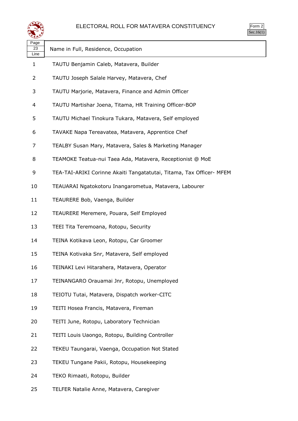

| orm<br>╭ |
|----------|
| ` 1      |

| Page<br>23 | Name in Full, Residence, Occupation                                  |
|------------|----------------------------------------------------------------------|
| Line<br>1  | TAUTU Benjamin Caleb, Matavera, Builder                              |
| 2          | TAUTU Joseph Salale Harvey, Matavera, Chef                           |
| 3          | TAUTU Marjorie, Matavera, Finance and Admin Officer                  |
| 4          | TAUTU Martishar Joena, Titama, HR Training Officer-BOP               |
| 5          | TAUTU Michael Tinokura Tukara, Matavera, Self employed               |
| 6          | TAVAKE Napa Tereavatea, Matavera, Apprentice Chef                    |
| 7          | TEALBY Susan Mary, Matavera, Sales & Marketing Manager               |
| 8          | TEAMOKE Teatua-nui Taea Ada, Matavera, Receptionist @ MoE            |
| 9          | TEA-TAI-ARIKI Corinne Akaiti Tangatatutai, Titama, Tax Officer- MFEM |
| 10         | TEAUARAI Ngatokotoru Inangarometua, Matavera, Labourer               |
| 11         | TEAURERE Bob, Vaenga, Builder                                        |
| 12         | TEAURERE Meremere, Pouara, Self Employed                             |
| 13         | TEEI Tita Teremoana, Rotopu, Security                                |
| 14         | TEINA Kotikava Leon, Rotopu, Car Groomer                             |
| 15         | TEINA Kotivaka Snr, Matavera, Self employed                          |
| 16         | TEINAKI Levi Hitarahera, Matavera, Operator                          |
| 17         | TEINANGARO Orauamai Jnr, Rotopu, Unemployed                          |
| 18         | TEIOTU Tutai, Matavera, Dispatch worker-CITC                         |
| 19         | TEITI Hosea Francis, Matavera, Fireman                               |
| 20         | TEITI June, Rotopu, Laboratory Technician                            |
| 21         | TEITI Louis Uaongo, Rotopu, Building Controller                      |
| 22         | TEKEU Taungarai, Vaenga, Occupation Not Stated                       |
| 23         | TEKEU Tungane Pakii, Rotopu, Housekeeping                            |
| 24         | TEKO Rimaati, Rotopu, Builder                                        |
| 25         | TELFER Natalie Anne, Matavera, Caregiver                             |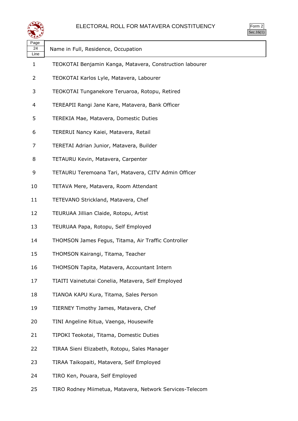

| Page<br>24<br>Line | Name in Full, Residence, Occupation                      |
|--------------------|----------------------------------------------------------|
| 1                  | TEOKOTAI Benjamin Kanga, Matavera, Construction labourer |
| 2                  | TEOKOTAI Karlos Lyle, Matavera, Labourer                 |
| 3                  | TEOKOTAI Tunganekore Teruaroa, Rotopu, Retired           |
| 4                  | TEREAPII Rangi Jane Kare, Matavera, Bank Officer         |
| 5                  | TEREKIA Mae, Matavera, Domestic Duties                   |
| 6                  | TERERUI Nancy Kaiei, Matavera, Retail                    |
| 7                  | TERETAI Adrian Junior, Matavera, Builder                 |
| 8                  | TETAURU Kevin, Matavera, Carpenter                       |
| 9                  | TETAURU Teremoana Tari, Matavera, CITV Admin Officer     |
| 10                 | TETAVA Mere, Matavera, Room Attendant                    |
| 11                 | TETEVANO Strickland, Matavera, Chef                      |
| 12                 | TEURUAA Jillian Claide, Rotopu, Artist                   |
| 13                 | TEURUAA Papa, Rotopu, Self Employed                      |
| 14                 | THOMSON James Fegus, Titama, Air Traffic Controller      |
| 15                 | THOMSON Kairangi, Titama, Teacher                        |
| 16                 | THOMSON Tapita, Matavera, Accountant Intern              |
| 17                 | TIAITI Vainetutai Conelia, Matavera, Self Employed       |
| 18                 | TIANOA KAPU Kura, Titama, Sales Person                   |
| 19                 | TIERNEY Timothy James, Matavera, Chef                    |
| 20                 | TINI Angeline Ritua, Vaenga, Housewife                   |
| 21                 | TIPOKI Teokotai, Titama, Domestic Duties                 |
| 22                 | TIRAA Sieni Elizabeth, Rotopu, Sales Manager             |
| 23                 | TIRAA Taikopaiti, Matavera, Self Employed                |
| 24                 | TIRO Ken, Pouara, Self Employed                          |
|                    |                                                          |

TIRO Rodney Miimetua, Matavera, Network Services-Telecom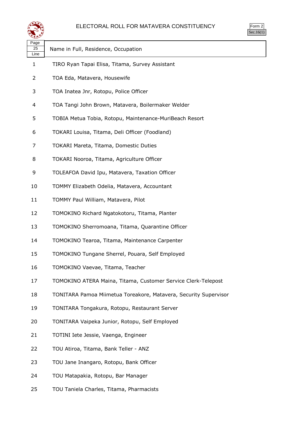

| سيع                |                                                                  |  |
|--------------------|------------------------------------------------------------------|--|
| Page<br>25<br>Line | Name in Full, Residence, Occupation                              |  |
| $\mathbf{1}$       | TIRO Ryan Tapai Elisa, Titama, Survey Assistant                  |  |
| 2                  | TOA Eda, Matavera, Housewife                                     |  |
| 3                  | TOA Inatea Jnr, Rotopu, Police Officer                           |  |
| 4                  | TOA Tangi John Brown, Matavera, Boilermaker Welder               |  |
| 5                  | TOBIA Metua Tobia, Rotopu, Maintenance-MuriBeach Resort          |  |
| 6                  | TOKARI Louisa, Titama, Deli Officer (Foodland)                   |  |
| 7                  | TOKARI Mareta, Titama, Domestic Duties                           |  |
| 8                  | TOKARI Nooroa, Titama, Agriculture Officer                       |  |
| 9                  | TOLEAFOA David Ipu, Matavera, Taxation Officer                   |  |
| 10                 | TOMMY Elizabeth Odelia, Matavera, Accountant                     |  |
| 11                 | TOMMY Paul William, Matavera, Pilot                              |  |
| 12                 | TOMOKINO Richard Ngatokotoru, Titama, Planter                    |  |
| 13                 | TOMOKINO Sherromoana, Titama, Quarantine Officer                 |  |
| 14                 | TOMOKINO Tearoa, Titama, Maintenance Carpenter                   |  |
| 15                 | TOMOKINO Tungane Sherrel, Pouara, Self Employed                  |  |
| 16                 | TOMOKINO Vaevae, Titama, Teacher                                 |  |
| 17                 | TOMOKINO ATERA Maina, Titama, Customer Service Clerk-Telepost    |  |
| 18                 | TONITARA Pamoa Miimetua Toreakore, Matavera, Security Supervisor |  |
| 19                 | TONITARA Tongakura, Rotopu, Restaurant Server                    |  |
| 20                 | TONITARA Vaipeka Junior, Rotopu, Self Employed                   |  |
| 21                 | TOTINI Iete Jessie, Vaenga, Engineer                             |  |
| 22                 | TOU Atiroa, Titama, Bank Teller - ANZ                            |  |
| 23                 | TOU Jane Inangaro, Rotopu, Bank Officer                          |  |
| 24                 | TOU Matapakia, Rotopu, Bar Manager                               |  |

TOU Taniela Charles, Titama, Pharmacists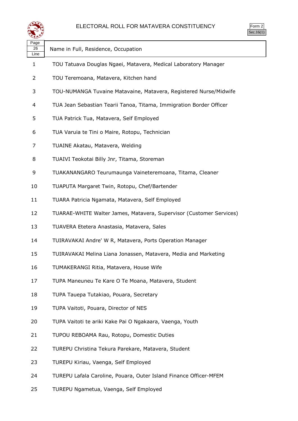

| Page<br>26<br>Line | Name in Full, Residence, Occupation                                 |
|--------------------|---------------------------------------------------------------------|
| 1                  | TOU Tatuava Douglas Ngaei, Matavera, Medical Laboratory Manager     |
| $\overline{2}$     | TOU Teremoana, Matavera, Kitchen hand                               |
| 3                  | TOU-NUMANGA Tuvaine Matavaine, Matavera, Registered Nurse/Midwife   |
| 4                  | TUA Jean Sebastian Tearii Tanoa, Titama, Immigration Border Officer |
| 5                  | TUA Patrick Tua, Matavera, Self Employed                            |
| 6                  | TUA Varuia te Tini o Maire, Rotopu, Technician                      |
| 7                  | TUAINE Akatau, Matavera, Welding                                    |
| 8                  | TUAIVI Teokotai Billy Jnr, Titama, Storeman                         |
| 9                  | TUAKANANGARO Teurumaunga Vaineteremoana, Titama, Cleaner            |
| 10                 | TUAPUTA Margaret Twin, Rotopu, Chef/Bartender                       |
| 11                 | TUARA Patricia Ngamata, Matavera, Self Employed                     |
| 12                 | TUARAE-WHITE Walter James, Matavera, Supervisor (Customer Services) |
| 13                 | TUAVERA Etetera Anastasia, Matavera, Sales                          |
| 14                 | TUIRAVAKAI Andre' W R, Matavera, Ports Operation Manager            |
| 15                 | TUIRAVAKAI Melina Liana Jonassen, Matavera, Media and Marketing     |
| 16                 | TUMAKERANGI Ritia, Matavera, House Wife                             |
| 17                 | TUPA Maneuneu Te Kare O Te Moana, Matavera, Student                 |
| 18                 | TUPA Tauepa Tutakiao, Pouara, Secretary                             |
| 19                 | TUPA Vaitoti, Pouara, Director of NES                               |
| 20                 | TUPA Vaitoti te ariki Kake Pai O Ngakaara, Vaenga, Youth            |
| 21                 | TUPOU REBOAMA Rau, Rotopu, Domestic Duties                          |
| 22                 | TUREPU Christina Tekura Parekare, Matavera, Student                 |
| 23                 | TUREPU Kiriau, Vaenga, Self Employed                                |
| 24                 | TUREPU Lafala Caroline, Pouara, Outer Island Finance Officer-MFEM   |

TUREPU Ngametua, Vaenga, Self Employed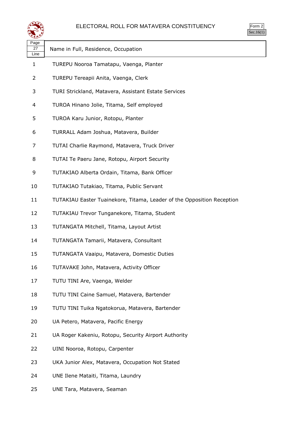

| orm<br>ッ |  |
|----------|--|
| ` 1      |  |

| ື້                 |                                                                        |
|--------------------|------------------------------------------------------------------------|
| Page<br>27<br>Line | Name in Full, Residence, Occupation                                    |
| $\mathbf{1}$       | TUREPU Nooroa Tamatapu, Vaenga, Planter                                |
| 2                  | TUREPU Tereapii Anita, Vaenga, Clerk                                   |
| 3                  | TURI Strickland, Matavera, Assistant Estate Services                   |
| 4                  | TUROA Hinano Jolie, Titama, Self employed                              |
| 5                  | TUROA Karu Junior, Rotopu, Planter                                     |
| 6                  | TURRALL Adam Joshua, Matavera, Builder                                 |
| 7                  | TUTAI Charlie Raymond, Matavera, Truck Driver                          |
| 8                  | TUTAI Te Paeru Jane, Rotopu, Airport Security                          |
| 9                  | TUTAKIAO Alberta Ordain, Titama, Bank Officer                          |
| 10                 | TUTAKIAO Tutakiao, Titama, Public Servant                              |
| 11                 | TUTAKIAU Easter Tuainekore, Titama, Leader of the Opposition Reception |
| 12                 | TUTAKIAU Trevor Tunganekore, Titama, Student                           |
| 13                 | TUTANGATA Mitchell, Titama, Layout Artist                              |
| 14                 | TUTANGATA Tamarii, Matavera, Consultant                                |
| 15                 | TUTANGATA Vaaipu, Matavera, Domestic Duties                            |
| 16                 | TUTAVAKE John, Matavera, Activity Officer                              |
| 17                 | TUTU TINI Are, Vaenga, Welder                                          |
| 18                 | TUTU TINI Caine Samuel, Matavera, Bartender                            |
| 19                 | TUTU TINI Tuika Ngatokorua, Matavera, Bartender                        |
| 20                 | UA Petero, Matavera, Pacific Energy                                    |
| 21                 | UA Roger Kakeniu, Rotopu, Security Airport Authority                   |
| 22                 | UINI Nooroa, Rotopu, Carpenter                                         |
| 23                 | UKA Junior Alex, Matavera, Occupation Not Stated                       |
| 24                 | UNE Ilene Mataiti, Titama, Laundry                                     |

UNE Tara, Matavera, Seaman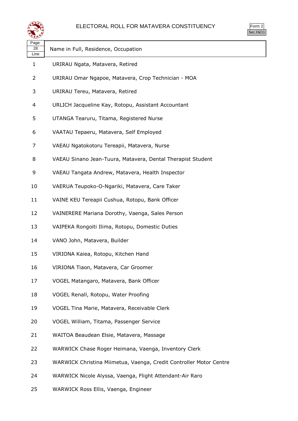

| ırm<br>u |  |
|----------|--|
|          |  |

| Page<br>28<br>Line | Name in Full, Residence, Occupation                                |
|--------------------|--------------------------------------------------------------------|
| 1                  | URIRAU Ngata, Matavera, Retired                                    |
| 2                  | URIRAU Omar Ngapoe, Matavera, Crop Technician - MOA                |
| 3                  | URIRAU Tereu, Matavera, Retired                                    |
| 4                  | URLICH Jacqueline Kay, Rotopu, Assistant Accountant                |
| 5                  | UTANGA Tearuru, Titama, Registered Nurse                           |
| 6                  | VAATAU Tepaeru, Matavera, Self Employed                            |
| 7                  | VAEAU Ngatokotoru Tereapii, Matavera, Nurse                        |
| 8                  | VAEAU Sinano Jean-Tuura, Matavera, Dental Therapist Student        |
| 9                  | VAEAU Tangata Andrew, Matavera, Health Inspector                   |
| 10                 | VAERUA Teupoko-O-Ngariki, Matavera, Care Taker                     |
| 11                 | VAINE KEU Tereapii Cushua, Rotopu, Bank Officer                    |
| 12                 | VAINERERE Mariana Dorothy, Vaenga, Sales Person                    |
| 13                 | VAIPEKA Rongoiti Ilima, Rotopu, Domestic Duties                    |
| 14                 | VANO John, Matavera, Builder                                       |
| 15                 | VIRIONA Kaiea, Rotopu, Kitchen Hand                                |
| 16                 | VIRIONA Tiaon, Matavera, Car Groomer                               |
| 17                 | VOGEL Matangaro, Matavera, Bank Officer                            |
| 18                 | VOGEL Renall, Rotopu, Water Proofing                               |
| 19                 | VOGEL Tina Marie, Matavera, Receivable Clerk                       |
| 20                 | VOGEL William, Titama, Passenger Service                           |
| 21                 | WAITOA Beaudean Elsie, Matavera, Massage                           |
| 22                 | WARWICK Chase Roger Heimana, Vaenga, Inventory Clerk               |
| 23                 | WARWICK Christina Miimetua, Vaenga, Credit Controller Motor Centre |
| 24                 | WARWICK Nicole Alyssa, Vaenga, Flight Attendant-Air Raro           |

WARWICK Ross Ellis, Vaenga, Engineer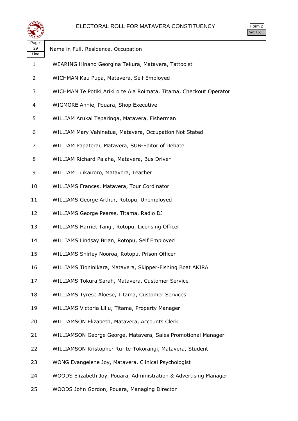

| Page<br>29<br>Line | Name in Full, Residence, Occupation                                 |
|--------------------|---------------------------------------------------------------------|
| 1                  | WEARING Hinano Georgina Tekura, Matavera, Tattooist                 |
| 2                  | WICHMAN Kau Pupa, Matavera, Self Employed                           |
| 3                  | WICHMAN Te Potiki Ariki o te Aia Roimata, Titama, Checkout Operator |
| 4                  | WIGMORE Annie, Pouara, Shop Executive                               |
| 5                  | WILLIAM Arukai Teparinga, Matavera, Fisherman                       |
| 6                  | WILLIAM Mary Vahinetua, Matavera, Occupation Not Stated             |
| 7                  | WILLIAM Papaterai, Matavera, SUB-Editor of Debate                   |
| 8                  | WILLIAM Richard Paiaha, Matavera, Bus Driver                        |
| 9                  | WILLIAM Tuikairoro, Matavera, Teacher                               |
| 10                 | WILLIAMS Frances, Matavera, Tour Cordinator                         |
| 11                 | WILLIAMS George Arthur, Rotopu, Unemployed                          |
| 12                 | WILLIAMS George Pearse, Titama, Radio DJ                            |
| 13                 | WILLIAMS Harriet Tangi, Rotopu, Licensing Officer                   |
| 14                 | WILLIAMS Lindsay Brian, Rotopu, Self Employed                       |
| 15                 | WILLIAMS Shirley Nooroa, Rotopu, Prison Officer                     |
| 16                 | WILLIAMS Tioninikara, Matavera, Skipper-Fishing Boat AKIRA          |
| 17                 | WILLIAMS Tokura Sarah, Matavera, Customer Service                   |
| 18                 | WILLIAMS Tyrese Aloese, Titama, Customer Services                   |
| 19                 | WILLIAMS Victoria Liliu, Titama, Property Manager                   |
| 20                 | WILLIAMSON Elizabeth, Matavera, Accounts Clerk                      |
| 21                 | WILLIAMSON George George, Matavera, Sales Promotional Manager       |
| 22                 | WILLIAMSON Kristopher Ru-ite-Tokorangi, Matavera, Student           |
| 23                 | WONG Evangelene Joy, Matavera, Clinical Psychologist                |
| 24                 | WOODS Elizabeth Joy, Pouara, Administration & Advertising Manager   |

WOODS John Gordon, Pouara, Managing Director